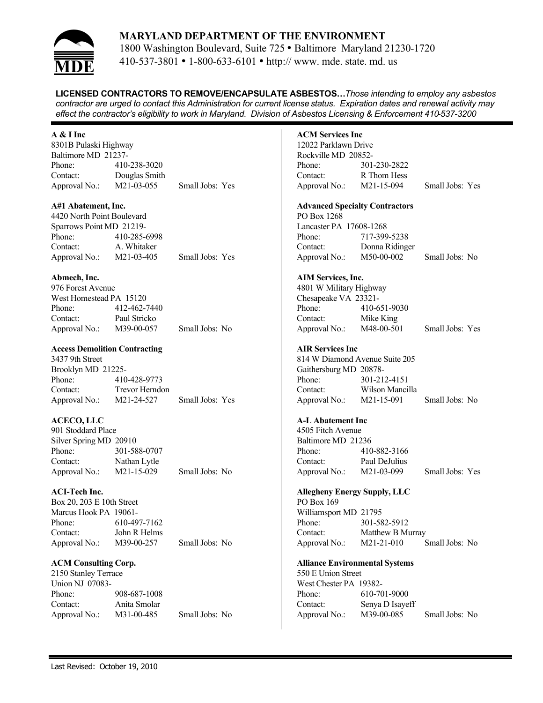

1800 Washington Boulevard, Suite 725 • Baltimore Maryland 21230-1720 410-537-3801 • 1-800-633-6101 • http:// www. mde. state. md. us

**LICENSED CONTRACTORS TO REMOVE/ENCAPSULATE ASBESTOS…***Those intending to employ any asbestos contractor are urged to contact this Administration for current license status. Expiration dates and renewal activity may effect the contractor's eligibility to work in Maryland. Division of Asbestos Licensing & Enforcement 410-537-3200*

## **A & I Inc**

8301B Pulaski Highway Baltimore MD 21237- Phone: 410-238-3020 Contact: Douglas Smith Approval No.: M21-03-055 Small Jobs: Yes

## **A#1 Abatement, Inc.**

4420 North Point Boulevard Sparrows Point MD 21219- Phone: 410-285-6998 Contact: A. Whitaker Approval No.: M21-03-405 Small Jobs: Yes

## **Abmech, Inc.**

| 976 Forest Avenue       |              |                |
|-------------------------|--------------|----------------|
| West Homestead PA 15120 |              |                |
| Phone:                  | 412-462-7440 |                |
| Contact:                | Paul Stricko |                |
| Approval No.:           | M39-00-057   | Small Jobs: No |

## **Access Demolition Contracting**

3437 9th Street Brooklyn MD 21225- Phone: 410-428-9773 Contact: Trevor Herndon Approval No.: M21-24-527 Small Jobs: Yes

# **ACECO, LLC**

| 901 Stoddard Place     |              |                |  |
|------------------------|--------------|----------------|--|
| Silver Spring MD 20910 |              |                |  |
| Phone:                 | 301-588-0707 |                |  |
| Contact:               | Nathan Lytle |                |  |
| Approval No.:          | M21-15-029   | Small Jobs: No |  |

# **ACI-Tech Inc.**

Box 20, 203 E 10th Street Marcus Hook PA 19061- Phone: 610-497-7162 Contact: John R Helms Approval No.: M39-00-257 Small Jobs: No

**ACM Consulting Corp.**

2150 Stanley Terrace Union NJ 07083- Phone: 908-687-1008 Contact: Anita Smolar Approval No.: M31-00-485 Small Jobs: No **ACM Services Inc** 12022 Parklawn Drive Rockville MD 20852- Phone: 301-230-2822 Contact: R Thom Hess Approval No.: M21-15-094 Small Jobs: Yes **Advanced Specialty Contractors** PO Box 1268 Lancaster PA 17608-1268 Phone: 717-399-5238 Contact: Donna Ridinger Approval No.: M50-00-002 Small Jobs: No **AIM Services, Inc.** 4801 W Military Highway Chesapeake VA 23321- Phone: 410-651-9030 Contact: Mike King Approval No.: M48-00-501 Small Jobs: Yes **AIR Services Inc** 814 W Diamond Avenue Suite 205 Gaithersburg MD 20878- Phone: 301-212-4151 Contact: Wilson Mancilla Approval No.: M21-15-091 Small Jobs: No **A-L Abatement Inc** 4505 Fitch Avenue Baltimore MD 21236 Phone: 410-882-3166 Contact: Paul DeJulius Approval No.: M21-03-099 Small Jobs: Yes **Allegheny Energy Supply, LLC** PO Box 169 Williamsport MD 21795 Phone: 301-582-5912 Contact: Matthew B Murray Approval No.: M21-21-010 Small Jobs: No **Alliance Environmental Systems** 550 E Union Street West Chester PA 19382- Phone: 610-701-9000 Contact: Senya D Isayeff Approval No.: M39-00-085 Small Jobs: No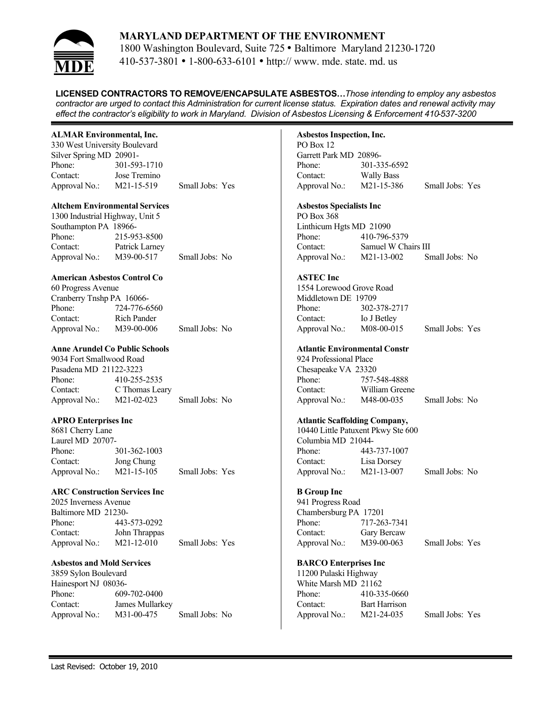

1800 Washington Boulevard, Suite 725 • Baltimore Maryland 21230-1720 410-537-3801 • 1-800-633-6101 • http:// www. mde. state. md. us

**LICENSED CONTRACTORS TO REMOVE/ENCAPSULATE ASBESTOS…***Those intending to employ any asbestos contractor are urged to contact this Administration for current license status. Expiration dates and renewal activity may effect the contractor's eligibility to work in Maryland. Division of Asbestos Licensing & Enforcement 410-537-3200*

## **ALMAR Environmental, Inc.**

330 West University Boulevard Silver Spring MD 20901- Phone: 301-593-1710 Contact: Jose Tremino Approval No.: M21-15-519 Small Jobs: Yes

#### **Altchem Environmental Services**

1300 Industrial Highway, Unit 5 Southampton PA 18966- Phone: 215-953-8500 Contact: Patrick Larney Approval No.: M39-00-517 Small Jobs: No

## **American Asbestos Control Co**

| 60 Progress Avenue        |                    |                |
|---------------------------|--------------------|----------------|
| Cranberry Tnshp PA 16066- |                    |                |
| Phone:                    | 724-776-6560       |                |
| Contact:                  | <b>Rich Pander</b> |                |
| Approval No.:             | M39-00-006         | Small Jobs: No |

## **Anne Arundel Co Public Schools**

9034 Fort Smallwood Road Pasadena MD 21122-3223 Phone: 410-255-2535 Contact: C Thomas Leary Approval No.: M21-02-023 Small Jobs: No

# **APRO Enterprises Inc**

8681 Cherry Lane Laurel MD 20707- Phone: 301-362-1003 Contact: Jong Chung Approval No.: M21-15-105 Small Jobs: Yes

#### **ARC Construction Services Inc**

2025 Inverness Avenue Baltimore MD 21230- Phone: 443-573-0292 Contact: John Thrappas Approval No.: M21-12-010 Small Jobs: Yes

#### **Asbestos and Mold Services**

3859 Sylon Boulevard Hainesport NJ 08036- Phone: 609-702-0400 Contact: James Mullarkey Approval No.: M31-00-475 Small Jobs: No

# **Asbestos Inspection, Inc.**

PO Box 12 Garrett Park MD 20896- Phone: 301-335-6592 Contact: Wally Bass Approval No.: M21-15-386 Small Jobs: Yes

## **Asbestos Specialists Inc**

PO Box 368 Linthicum Hgts MD 21090 Phone: 410-796-5379 Contact: Samuel W Chairs III Approval No.: M21-13-002 Small Jobs: No

#### **ASTEC Inc**

1554 Lorewood Grove Road Middletown DE 19709<br>Phone: 302-3 Phone: 302-378-2717 Contact: Io J Betley Approval No.: M08-00-015 Small Jobs: Yes

#### **Atlantic Environmental Constr**

924 Professional Place Chesapeake VA 23320 Phone: 757-548-4888 Contact: William Greene Approval No.: M48-00-035 Small Jobs: No

#### **Atlantic Scaffolding Company,**

10440 Little Patuxent Pkwy Ste 600 Columbia MD 21044- Phone: 443-737-1007 Contact: Lisa Dorsey Approval No.: M21-13-007 Small Jobs: No

## **B Group Inc**

941 Progress Road Chambersburg PA 17201 Phone: 717-263-7341 Contact: Gary Bercaw Approval No.: M39-00-063 Small Jobs: Yes

#### **BARCO Enterprises Inc**

11200 Pulaski Highway White Marsh MD 21162 Phone: 410-335-0660 Contact: Bart Harrison Approval No.: M21-24-035 Small Jobs: Yes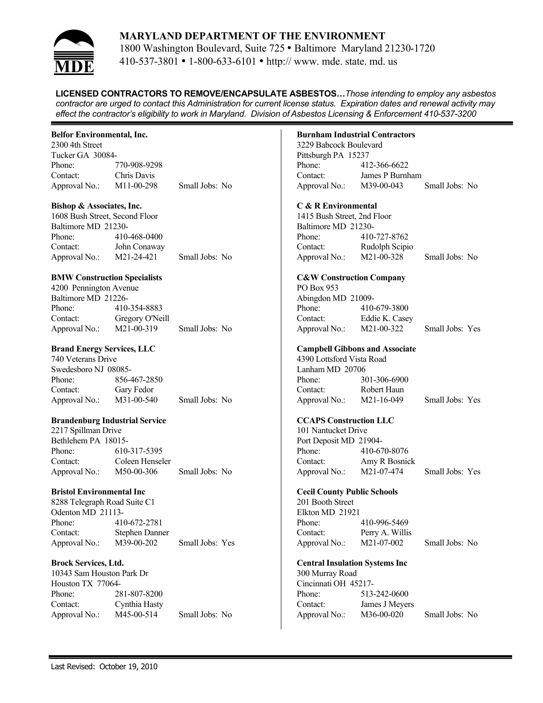

1800 Washington Boulevard, Suite 725 • Baltimore Maryland 21230-1720 410-537-3801 • 1-800-633-6101 • http:// www. mde. state. md. us

**LICENSED CONTRACTORS TO REMOVE/ENCAPSULATE ASBESTOS…***Those intending to employ any asbestos contractor are urged to contact this Administration for current license status. Expiration dates and renewal activity may effect the contractor's eligibility to work in Maryland. Division of Asbestos Licensing & Enforcement 410-537-3200*

## **Belfor Environmental, Inc.**

2300 4th Street Tucker GA 30084- Phone: 770-908-9298 Contact: Chris Davis Approval No.: M11-00-298 Small Jobs: No

#### **Bishop & Associates, Inc.**

1608 Bush Street, Second Floor Baltimore MD 21230- Phone: 410-468-0400 Contact: John Conaway Approval No.: M21-24-421 Small Jobs: No

#### **BMW Construction Specialists**

| 4200 Pennington Avenue |                 |                |
|------------------------|-----------------|----------------|
| Baltimore MD 21226-    |                 |                |
| Phone:                 | 410-354-8883    |                |
| Contact:               | Gregory O'Neill |                |
| Approval No.:          | M21-00-319      | Small Jobs: No |

## **Brand Energy Services, LLC**

740 Veterans Drive Swedesboro NJ 08085- Phone: 856-467-2850 Contact: Gary Fedor Approval No.: M31-00-540 Small Jobs: No

#### **Brandenburg Industrial Service**

2217 Spillman Drive Bethlehem PA 18015- Phone: 610-317-5395 Contact: Coleen Henseler Approval No.: M50-00-306 Small Jobs: No

#### **Bristol Environmental Inc**

8288 Telegraph Road Suite C1 Odenton MD 21113- Phone: 410-672-2781 Contact: Stephen Danner Approval No.: M39-00-202 Small Jobs: Yes

#### **Brock Services, Ltd.**

10343 Sam Houston Park Dr Houston TX 77064- Phone: 281-807-8200 Contact: Cynthia Hasty Approval No.: M45-00-514 Small Jobs: No

## **Burnham Industrial Contractors**

3229 Babcock Boulevard Pittsburgh PA 15237 Phone: 412-366-6622 Contact: James P Burnham Approval No.: M39-00-043 Small Jobs: No

#### **C & R Environmental**

1415 Bush Street, 2nd Floor Baltimore MD 21230- Phone: 410-727-8762 Contact: Rudolph Scipio Approval No.: M21-00-328 Small Jobs: No

## **C&W Construction Company**

PO Box 953 Abingdon MD 21009- Phone: 410-679-3800 Contact: Eddie K. Casey Approval No.: M21-00-322 Small Jobs: Yes

#### **Campbell Gibbons and Associate**

4390 Lottsford Vista Road Lanham MD 20706 Phone: 301-306-6900 Contact: Robert Haun Approval No.: M21-16-049 Small Jobs: Yes

#### **CCAPS Construction LLC**

101 Nantucket Drive Port Deposit MD 21904- Phone: 410-670-8076 Contact: Amy R Bosnick Approval No.: M21-07-474 Small Jobs: Yes

#### **Cecil County Public Schools**

201 Booth Street Elkton MD 21921 Phone: 410-996-5469 Contact: Perry A. Willis Approval No.: M21-07-002 Small Jobs: No

#### **Central Insulation Systems Inc**

300 Murray Road Cincinnati OH 45217- Phone: 513-242-0600 Contact: James J Meyers Approval No.: M36-00-020 Small Jobs: No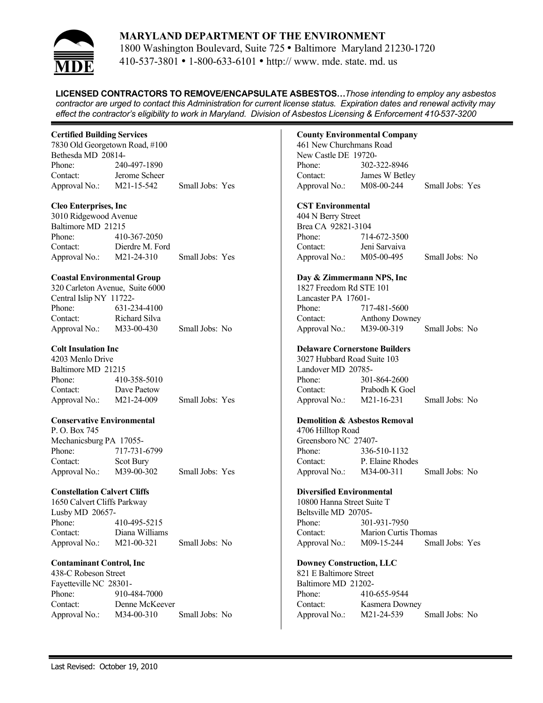

1800 Washington Boulevard, Suite 725 • Baltimore Maryland 21230-1720 410-537-3801 • 1-800-633-6101 • http:// www. mde. state. md. us

**LICENSED CONTRACTORS TO REMOVE/ENCAPSULATE ASBESTOS…***Those intending to employ any asbestos contractor are urged to contact this Administration for current license status. Expiration dates and renewal activity may effect the contractor's eligibility to work in Maryland. Division of Asbestos Licensing & Enforcement 410-537-3200*

## **Certified Building Services**

7830 Old Georgetown Road, #100 Bethesda MD 20814- Phone: 240-497-1890 Contact: Jerome Scheer Approval No.: M21-15-542 Small Jobs: Yes

## **Cleo Enterprises, Inc**

3010 Ridgewood Avenue Baltimore MD 21215 Phone: 410-367-2050 Contact: Dierdre M. Ford Approval No.: M21-24-310 Small Jobs: Yes

#### **Coastal Environmental Group**

|                         | 320 Carleton Avenue, Suite 6000 |                |
|-------------------------|---------------------------------|----------------|
| Central Islip NY 11722- |                                 |                |
| Phone:                  | 631-234-4100                    |                |
| Contact:                | Richard Silva                   |                |
| Approval No.:           | M33-00-430                      | Small Jobs: No |

#### **Colt Insulation Inc**

4203 Menlo Drive Baltimore MD 21215 Phone: 410-358-5010 Contact: Dave Paetow Approval No.: M21-24-009 Small Jobs: Yes

#### **Conservative Environmental**

P. O. Box 745 Mechanicsburg PA 17055- Phone: 717-731-6799 Contact: Scot Bury Approval No.: M39-00-302 Small Jobs: Yes

#### **Constellation Calvert Cliffs**

1650 Calvert Cliffs Parkway Lusby MD 20657- Phone: 410-495-5215 Contact: Diana Williams Approval No.: M21-00-321 Small Jobs: No

#### **Contaminant Control, Inc**

438-C Robeson Street Fayetteville NC 28301- Phone: 910-484-7000 Contact: Denne McKeever Approval No.: M34-00-310 Small Jobs: No

## **County Environmental Company**

461 New Churchmans Road New Castle DE 19720- Phone: 302-322-8946 Contact: James W Betley Approval No.: M08-00-244 Small Jobs: Yes

#### **CST Environmental**

404 N Berry Street Brea CA 92821-3104 Phone: 714-672-3500 Contact: Jeni Sarvaiva Approval No.: M05-00-495 Small Jobs: No

### **Day & Zimmermann NPS, Inc** 1827 Freedom Rd STE 101 Lancaster PA 17601- Phone: 717-481-5600 Contact: Anthony Downey Approval No.: M39-00-319 Small Jobs: No

#### **Delaware Cornerstone Builders**

3027 Hubbard Road Suite 103 Landover MD 20785- Phone: 301-864-2600 Contact: Prabodh K Goel Approval No.: M21-16-231 Small Jobs: No

#### **Demolition & Asbestos Removal**

4706 Hilltop Road Greensboro NC 27407- Phone: 336-510-1132 Contact: P. Elaine Rhodes Approval No.: M34-00-311 Small Jobs: No

#### **Diversified Environmental**

10800 Hanna Street Suite T Beltsville MD 20705- Phone: 301-931-7950 Contact: Marion Curtis Thomas Approval No.: M09-15-244 Small Jobs: Yes

#### **Downey Construction, LLC**

821 E Baltimore Street Baltimore MD 21202- Phone: 410-655-9544 Contact: Kasmera Downey Approval No.: M21-24-539 Small Jobs: No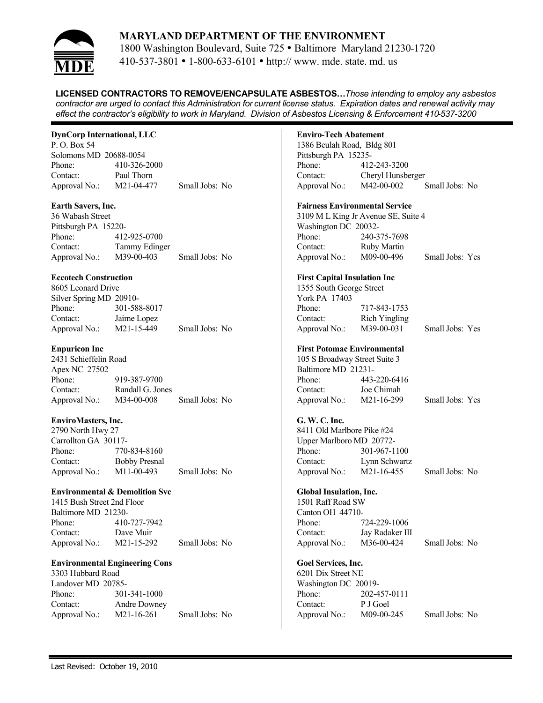

1800 Washington Boulevard, Suite 725 • Baltimore Maryland 21230-1720 410-537-3801 • 1-800-633-6101 • http:// www. mde. state. md. us

**LICENSED CONTRACTORS TO REMOVE/ENCAPSULATE ASBESTOS…***Those intending to employ any asbestos contractor are urged to contact this Administration for current license status. Expiration dates and renewal activity may effect the contractor's eligibility to work in Maryland. Division of Asbestos Licensing & Enforcement 410-537-3200*

## **DynCorp International, LLC**

P. O. Box 54 Solomons MD 20688-0054 Phone: 410-326-2000 Contact: Paul Thorn Approval No.: M21-04-477 Small Jobs: No

## **Earth Savers, Inc.**

36 Wabash Street Pittsburgh PA 15220- Phone: 412-925-0700 Contact: Tammy Edinger Approval No.: M39-00-403 Small Jobs: No

## **Eccotech Construction**

| 8605 Leonard Drive      |              |                |  |
|-------------------------|--------------|----------------|--|
| Silver Spring MD 20910- |              |                |  |
| Phone:                  | 301-588-8017 |                |  |
| Contact:                | Jaime Lopez  |                |  |
| Approval No.:           | M21-15-449   | Small Jobs: No |  |

## **Enpuricon Inc**

2431 Schieffelin Road Apex NC 27502 Phone: 919-387-9700 Contact: Randall G. Jones Approval No.: M34-00-008 Small Jobs: No

# **EnviroMasters, Inc.**

2790 North Hwy 27 Carrollton GA 30117- Phone: 770-834-8160 Contact: Bobby Presnal Approval No.: M11-00-493 Small Jobs: No

## **Environmental & Demolition Svc**

1415 Bush Street 2nd Floor Baltimore MD 21230- Phone: 410-727-7942 Contact: Dave Muir Approval No.: M21-15-292 Small Jobs: No

#### **Environmental Engineering Cons**

3303 Hubbard Road Landover MD 20785- Phone: 301-341-1000 Contact: Andre Downey Approval No.: M21-16-261 Small Jobs: No

## **Enviro-Tech Abatement**

1386 Beulah Road, Bldg 801 Pittsburgh PA 15235- Phone: 412-243-3200 Contact: Cheryl Hunsberger Approval No.: M42-00-002 Small Jobs: No

#### **Fairness Environmental Service**

3109 M L King Jr Avenue SE, Suite 4 Washington DC 20032- Phone: 240-375-7698 Contact: Ruby Martin Approval No.: M09-00-496 Small Jobs: Yes

#### **First Capital Insulation Inc**

| 1355 South George Street |                         |                 |
|--------------------------|-------------------------|-----------------|
| York PA 17403            |                         |                 |
| Phone:                   | 717-843-1753            |                 |
| Contact:                 | Rich Yingling           |                 |
| Approval No.:            | M <sub>39</sub> -00-031 | Small Jobs: Yes |

## **First Potomac Environmental**

105 S Broadway Street Suite 3 Baltimore MD 21231- Phone: 443-220-6416 Contact: Joe Chimah Approval No.: M21-16-299 Small Jobs: Yes

#### **G. W. C. Inc.**

8411 Old Marlbore Pike #24 Upper Marlboro MD 20772- Phone: 301-967-1100 Contact: Lynn Schwartz Approval No.: M21-16-455 Small Jobs: No

## **Global Insulation, Inc.**

1501 Raff Road SW Canton OH 44710- Phone: 724-229-1006 Contact: Jay Radaker III Approval No.: M36-00-424 Small Jobs: No

# **Goel Services, Inc.**

6201 Dix Street NE Washington DC 20019- Phone: 202-457-0111 Contact: P J Goel Approval No.: M09-00-245 Small Jobs: No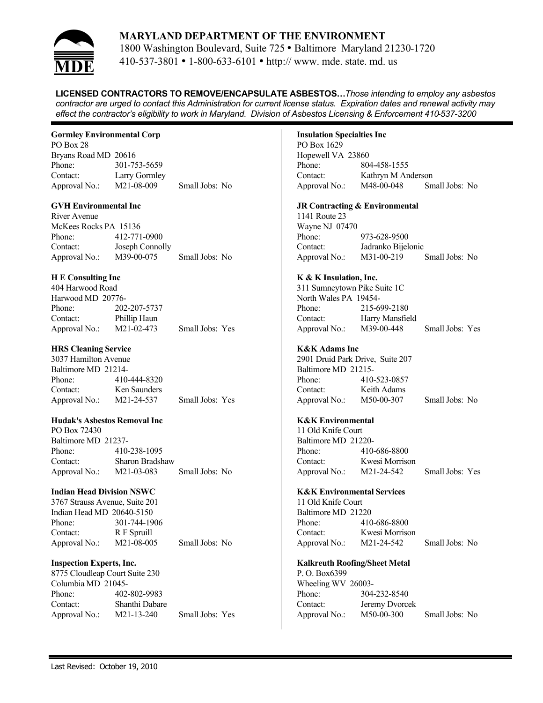

1800 Washington Boulevard, Suite 725 • Baltimore Maryland 21230-1720 410-537-3801 • 1-800-633-6101 • http:// www. mde. state. md. us

**LICENSED CONTRACTORS TO REMOVE/ENCAPSULATE ASBESTOS…***Those intending to employ any asbestos contractor are urged to contact this Administration for current license status. Expiration dates and renewal activity may effect the contractor's eligibility to work in Maryland. Division of Asbestos Licensing & Enforcement 410-537-3200*

## **Gormley Environmental Corp**

PO Box 28 Bryans Road MD 20616 Phone: 301-753-5659 Contact: Larry Gormley Approval No.: M21-08-009 Small Jobs: No

#### **GVH Environmental Inc**

River Avenue McKees Rocks PA 15136 Phone: 412-771-0900 Contact: Joseph Connolly Approval No.: M39-00-075 Small Jobs: No

## **H E Consulting Inc**

| 404 Harwood Road  |                         |                 |
|-------------------|-------------------------|-----------------|
| Harwood MD 20776- |                         |                 |
| Phone:            | 202-207-5737            |                 |
| Contact:          | Phillip Haun            |                 |
| Approval No.:     | M <sub>2</sub> 1-02-473 | Small Jobs: Yes |

## **HRS Cleaning Service**

3037 Hamilton Avenue Baltimore MD 21214- Phone: 410-444-8320 Contact: Ken Saunders Approval No.: M21-24-537 Small Jobs: Yes

#### **Hudak's Asbestos Removal Inc**

PO Box 72430 Baltimore MD 21237- Phone: 410-238-1095 Contact: Sharon Bradshaw Approval No.: M21-03-083 Small Jobs: No

#### **Indian Head Division NSWC**

3767 Strauss Avenue, Suite 201 Indian Head MD 20640-5150 Phone: 301-744-1906 Contact: R F Spruill Approval No.: M21-08-005 Small Jobs: No

#### **Inspection Experts, Inc.**

8775 Cloudleap Court Suite 230 Columbia MD 21045- Phone: 402-802-9983 Contact: Shanthi Dabare Approval No.: M21-13-240 Small Jobs: Yes

## **Insulation Specialties Inc**

PO Box 1629 Hopewell VA 23860 Phone: 804-458-1555 Contact: Kathryn M Anderson Approval No.: M48-00-048 Small Jobs: No

#### **JR Contracting & Environmental**

1141 Route 23 Wayne NJ 07470 Phone: 973-628-9500 Contact: Jadranko Bijelonic Approval No.: M31-00-219 Small Jobs: No

#### **K & K Insulation, Inc.**

311 Sumneytown Pike Suite 1C North Wales PA 19454- Phone: 215-699-2180 Contact: Harry Mansfield Approval No.: M39-00-448 Small Jobs: Yes

## **K&K Adams Inc**

2901 Druid Park Drive, Suite 207 Baltimore MD 21215- Phone: 410-523-0857 Contact: Keith Adams Approval No.: M50-00-307 Small Jobs: No

#### **K&K Environmental**

11 Old Knife Court Baltimore MD 21220- Phone: 410-686-8800 Contact: Kwesi Morrison Approval No.: M21-24-542 Small Jobs: Yes

#### **K&K Environmental Services**

11 Old Knife Court Baltimore MD 21220 Phone: 410-686-8800 Contact: Kwesi Morrison Approval No.: M21-24-542 Small Jobs: No

#### **Kalkreuth Roofing/Sheet Metal**

P. O. Box6399 Wheeling WV 26003- Phone: 304-232-8540 Contact: Jeremy Dvorcek Approval No.: M50-00-300 Small Jobs: No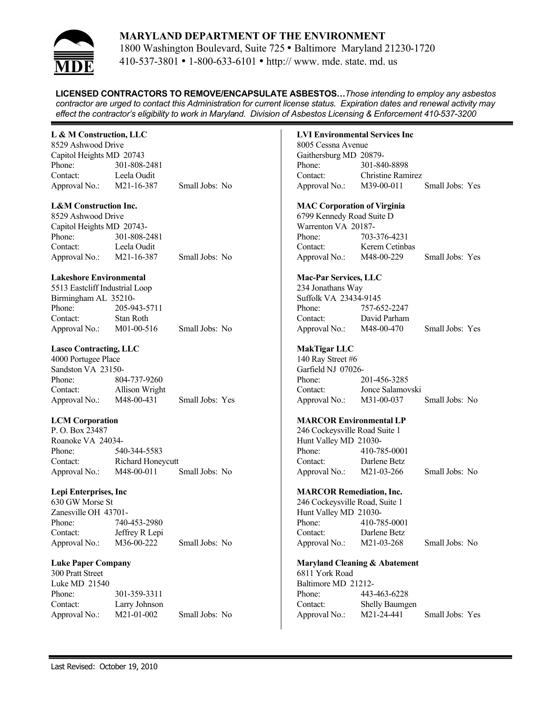

1800 Washington Boulevard, Suite 725 • Baltimore Maryland 21230-1720 410-537-3801 • 1-800-633-6101 • http:// www. mde. state. md. us

**LICENSED CONTRACTORS TO REMOVE/ENCAPSULATE ASBESTOS…***Those intending to employ any asbestos contractor are urged to contact this Administration for current license status. Expiration dates and renewal activity may effect the contractor's eligibility to work in Maryland. Division of Asbestos Licensing & Enforcement 410-537-3200*

## **L & M Construction, LLC**

8529 Ashwood Drive Capitol Heights MD 20743 Phone: 301-808-2481 Contact: Leela Oudit Approval No.: M21-16-387 Small Jobs: No

## **L&M Construction Inc.**

8529 Ashwood Drive Capitol Heights MD 20743- Phone: 301-808-2481 Contact: Leela Oudit Approval No.: M21-16-387 Small Jobs: No

## **Lakeshore Environmental**

| 5513 Eastcliff Industrial Loop |              |                |
|--------------------------------|--------------|----------------|
| Birmingham AL 35210-           |              |                |
| Phone:                         | 205-943-5711 |                |
| Contact:                       | Stan Roth    |                |
| Approval No.:                  | M01-00-516   | Small Jobs: No |

## **Lasco Contracting, LLC**

4000 Portugee Place Sandston VA 23150- Phone: 804-737-9260 Contact: Allison Wright Approval No.: M48-00-431 Small Jobs: Yes

#### **LCM Corporation**

P. O. Box 23487 Roanoke VA 24034- Phone: 540-344-5583 Contact: Richard Honeycutt Approval No.: M48-00-011 Small Jobs: No

## **Lepi Enterprises, Inc**

630 GW Morse St Zanesville OH 43701- Phone: 740-453-2980 Contact: Jeffrey R Lepi Approval No.: M36-00-222 Small Jobs: No

#### **Luke Paper Company**

300 Pratt Street Luke MD 21540 Phone: 301-359-3311 Contact: Larry Johnson Approval No.: M21-01-002 Small Jobs: No **LVI Environmental Services Inc** 8005 Cessna Avenue Gaithersburg MD 20879- Phone: 301-840-8898 Contact: Christine Ramirez Approval No.: M39-00-011 Small Jobs: Yes **MAC Corporation of Virginia** 6799 Kennedy Road Suite D Warrenton VA 20187- Phone: 703-376-4231 Contact: Kerem Cetinbas Approval No.: M48-00-229 Small Jobs: Yes **Mac-Par Services, LLC** 234 Jonathans Way Suffolk VA 23434-9145 Phone: 757-652-2247 Contact: David Parham Approval No.: M48-00-470 Small Jobs: Yes **MakTigar LLC** 140 Ray Street #6 Garfield NJ 07026- Phone: 201-456-3285 Contact: Jonce Salamovski Approval No.: M31-00-037 Small Jobs: No **MARCOR Environmental LP** 246 Cockeysville Road Suite 1 Hunt Valley MD 21030- Phone: 410-785-0001 Contact: Darlene Betz Approval No.: M21-03-266 Small Jobs: No **MARCOR Remediation, Inc.**

246 Cockeysville Road, Suite 1 Hunt Valley MD 21030- Phone: 410-785-0001 Contact: Darlene Betz Approval No.: M21-03-268 Small Jobs: No

#### **Maryland Cleaning & Abatement**

6811 York Road Baltimore MD 21212- Phone: 443-463-6228 Contact: Shelly Baumgen Approval No.: M21-24-441 Small Jobs: Yes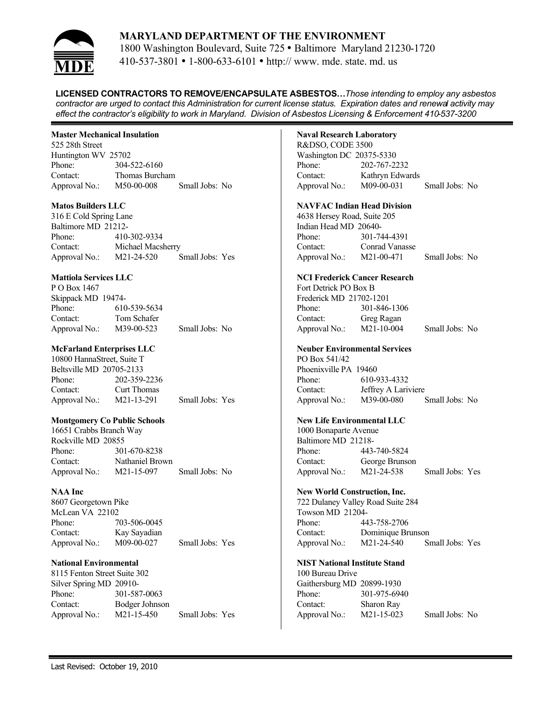

1800 Washington Boulevard, Suite 725 • Baltimore Maryland 21230-1720 410-537-3801 • 1-800-633-6101 • http:// www. mde. state. md. us

**LICENSED CONTRACTORS TO REMOVE/ENCAPSULATE ASBESTOS…***Those intending to employ any asbestos contractor are urged to contact this Administration for current license status. Expiration dates and renewal activity may effect the contractor's eligibility to work in Maryland. Division of Asbestos Licensing & Enforcement 410-537-3200*

## **Master Mechanical Insulation**

525 28th Street Huntington WV 25702 Phone: 304-522-6160 Contact: Thomas Burcham Approval No.: M50-00-008 Small Jobs: No

#### **Matos Builders LLC**

316 E Cold Spring Lane Baltimore MD 21212- Phone: 410-302-9334 Contact: Michael Macsherry Approval No.: M21-24-520 Small Jobs: Yes

## **Mattiola Services LLC**

| P O Box 1467       |                         |                |
|--------------------|-------------------------|----------------|
| Skippack MD 19474- |                         |                |
| Phone:             | 610-539-5634            |                |
| Contact:           | Tom Schafer             |                |
| Approval No.:      | M <sub>39</sub> -00-523 | Small Jobs: No |

# **McFarland Enterprises LLC**

10800 HannaStreet, Suite T Beltsville MD 20705-2133 Phone: 202-359-2236 Contact: Curt Thomas Approval No.: M21-13-291 Small Jobs: Yes

#### **Montgomery Co Public Schools**

16651 Crabbs Branch Way Rockville MD 20855 Phone: 301-670-8238 Contact: Nathaniel Brown Approval No.: M21-15-097 Small Jobs: No

#### **NAA Inc**

8607 Georgetown Pike McLean VA 22102 Phone: 703-506-0045 Contact: Kay Sayadian Approval No.: M09-00-027 Small Jobs: Yes

#### **National Environmental**

8115 Fenton Street Suite 302 Silver Spring MD 20910- Phone: 301-587-0063 Contact: Bodger Johnson Approval No.: M21-15-450 Small Jobs: Yes

## **Naval Research Laboratory**

R&DSO, CODE 3500 Washington DC 20375-5330 Phone: 202-767-2232 Contact: Kathryn Edwards Approval No.: M09-00-031 Small Jobs: No

#### **NAVFAC Indian Head Division**

4638 Hersey Road, Suite 205 Indian Head MD 20640- Phone: 301-744-4391 Contact: Conrad Vanasse Approval No.: M21-00-471 Small Jobs: No

#### **NCI Frederick Cancer Research**

Fort Detrick PO Box B Frederick MD 21702-1201<br>Phone: 301-846 Phone: 301-846-1306 Contact: Greg Ragan Approval No.: M21-10-004 Small Jobs: No

#### **Neuber Environmental Services**

PO Box 541/42 Phoenixville PA 19460 Phone: 610-933-4332 Contact: Jeffrey A Lariviere Approval No.: M39-00-080 Small Jobs: No

## **New Life Environmental LLC**

1000 Bonaparte Avenue Baltimore MD 21218- Phone: 443-740-5824 Contact: George Brunson Approval No.: M21-24-538 Small Jobs: Yes

#### **New World Construction, Inc.**

722 Dulaney Valley Road Suite 284 Towson MD 21204- Phone: 443-758-2706 Contact: Dominique Brunson Approval No.: M21-24-540 Small Jobs: Yes

#### **NIST National Institute Stand**

100 Bureau Drive Gaithersburg MD 20899-1930 Phone: 301-975-6940 Contact: Sharon Ray Approval No.: M21-15-023 Small Jobs: No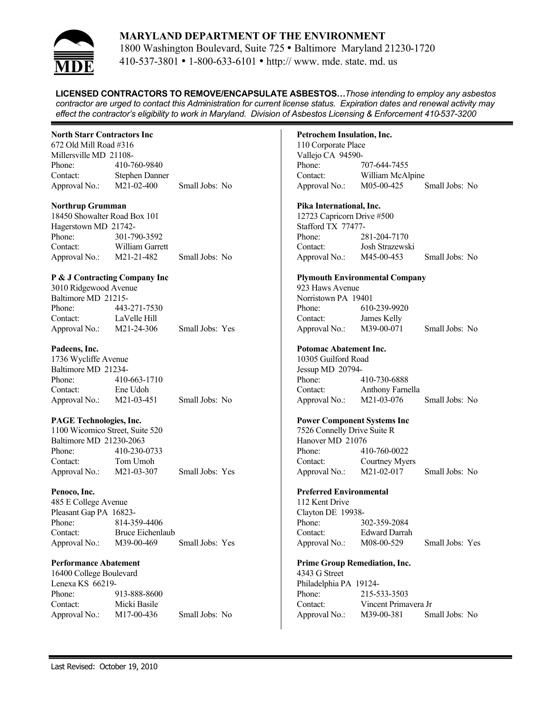

1800 Washington Boulevard, Suite 725 • Baltimore Maryland 21230-1720 410-537-3801 • 1-800-633-6101 • http:// www. mde. state. md. us

**LICENSED CONTRACTORS TO REMOVE/ENCAPSULATE ASBESTOS…***Those intending to employ any asbestos contractor are urged to contact this Administration for current license status. Expiration dates and renewal activity may effect the contractor's eligibility to work in Maryland. Division of Asbestos Licensing & Enforcement 410-537-3200*

#### **North Starr Contractors Inc**

672 Old Mill Road #316 Millersville MD 21108- Phone: 410-760-9840 Contact: Stephen Danner Approval No.: M21-02-400 Small Jobs: No

#### **Northrup Grumman**

18450 Showalter Road Box 101 Hagerstown MD 21742- Phone: 301-790-3592 Contact: William Garrett Approval No.: M21-21-482 Small Jobs: No

## **P & J Contracting Company Inc**

| 3010 Ridgewood Avenue |              |                 |
|-----------------------|--------------|-----------------|
| Baltimore MD 21215-   |              |                 |
| Phone:                | 443-271-7530 |                 |
| Contact:              | LaVelle Hill |                 |
| Approval No.:         | M21-24-306   | Small Jobs: Yes |

## **Padeens, Inc.**

1736 Wycliffe Avenue Baltimore MD 21234- Phone: 410-663-1710 Contact: Ene Udoh Approval No.: M21-03-451 Small Jobs: No

#### **PAGE Technologies, Inc.**

1100 Wicomico Street, Suite 520 Baltimore MD 21230-2063 Phone: 410-230-0733 Contact: Tom Umoh Approval No.: M21-03-307 Small Jobs: Yes

#### **Penoco, Inc.**

485 E College Avenue Pleasant Gap PA 16823- Phone: 814-359-4406 Contact: Bruce Eichenlaub Approval No.: M39-00-469 Small Jobs: Yes

#### **Performance Abatement**

16400 College Boulevard Lenexa KS 66219- Phone: 913-888-8600 Contact: Micki Basile Approval No.: M17-00-436 Small Jobs: No

#### **Petrochem Insulation, Inc.**

110 Corporate Place Vallejo CA 94590- Phone: 707-644-7455 Contact: William McAlpine Approval No.: M05-00-425 Small Jobs: No

#### **Pika International, Inc.**

12723 Capricorn Drive #500 Stafford TX 77477- Phone: 281-204-7170 Contact: Josh Strazewski Approval No.: M45-00-453 Small Jobs: No

#### **Plymouth Environmental Company**

923 Haws Avenue Norristown PA 19401 Phone: 610-239-9920 Contact: James Kelly Approval No.: M39-00-071 Small Jobs: No

#### **Potomac Abatement Inc.**

10305 Guilford Road Jessup MD 20794- Phone: 410-730-6888 Contact: Anthony Farnella Approval No.: M21-03-076 Small Jobs: No

#### **Power Component Systems Inc**

7526 Connelly Drive Suite R Hanover MD 21076 Phone: 410-760-0022 Contact: Courtney Myers Approval No.: M21-02-017 Small Jobs: No

#### **Preferred Environmental**

112 Kent Drive Clayton DE 19938- Phone: 302-359-2084 Contact: Edward Darrah Approval No.: M08-00-529 Small Jobs: Yes

#### **Prime Group Remediation, Inc.**

4343 G Street Philadelphia PA 19124- Phone: 215-533-3503 Contact: Vincent Primavera Jr Approval No.: M39-00-381 Small Jobs: No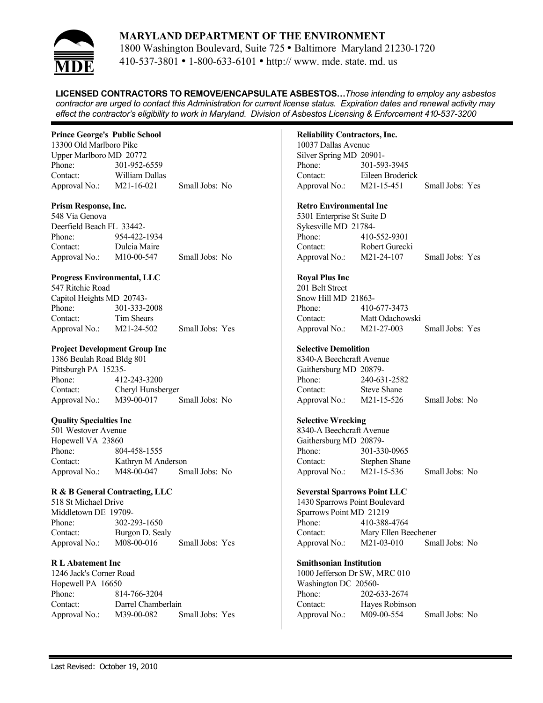

1800 Washington Boulevard, Suite 725 • Baltimore Maryland 21230-1720 410-537-3801 • 1-800-633-6101 • http:// www. mde. state. md. us

**LICENSED CONTRACTORS TO REMOVE/ENCAPSULATE ASBESTOS…***Those intending to employ any asbestos contractor are urged to contact this Administration for current license status. Expiration dates and renewal activity may effect the contractor's eligibility to work in Maryland. Division of Asbestos Licensing & Enforcement 410-537-3200*

## **Prince George's Public School**

13300 Old Marlboro Pike Upper Marlboro MD 20772 Phone: 301-952-6559 Contact: William Dallas Approval No.: M21-16-021 Small Jobs: No

#### **Prism Response, Inc.**

548 Via Genova Deerfield Beach FL 33442- Phone: 954-422-1934 Contact: Dulcia Maire Approval No.: M10-00-547 Small Jobs: No

## **Progress Environmental, LLC**

| 547 Ritchie Road          |              |                 |  |
|---------------------------|--------------|-----------------|--|
| Capitol Heights MD 20743- |              |                 |  |
| Phone:                    | 301-333-2008 |                 |  |
| Contact:                  | Tim Shears   |                 |  |
| Approval No.:             | M21-24-502   | Small Jobs: Yes |  |

## **Project Development Group Inc**

1386 Beulah Road Bldg 801 Pittsburgh PA 15235- Phone: 412-243-3200 Contact: Cheryl Hunsberger Approval No.: M39-00-017 Small Jobs: No

#### **Quality Specialties Inc**

501 Westover Avenue Hopewell VA 23860 Phone: 804-458-1555 Contact: Kathryn M Anderson Approval No.: M48-00-047 Small Jobs: No

## **R & B General Contracting, LLC**

518 St Michael Drive Middletown DE 19709- Phone: 302-293-1650 Contact: Burgon D. Sealy Approval No.: M08-00-016 Small Jobs: Yes

#### **R L Abatement Inc**

1246 Jack's Corner Road Hopewell PA 16650 Phone: 814-766-3204 Contact: Darrel Chamberlain Approval No.: M39-00-082 Small Jobs: Yes

## **Reliability Contractors, Inc.**

10037 Dallas Avenue Silver Spring MD 20901- Phone: 301-593-3945 Contact: Eileen Broderick Approval No.: M21-15-451 Small Jobs: Yes

## **Retro Environmental Inc**

5301 Enterprise St Suite D Sykesville MD 21784- Phone: 410-552-9301 Contact: Robert Gurecki Approval No.: M21-24-107 Small Jobs: Yes

## **Royal Plus Inc**

201 Belt Street Snow Hill MD 21863- Phone: 410-677-3473 Contact: Matt Odachowski Approval No.: M21-27-003 Small Jobs: Yes

## **Selective Demolition**

8340-A Beechcraft Avenue Gaithersburg MD 20879- Phone: 240-631-2582 Contact: Steve Shane Approval No.: M21-15-526 Small Jobs: No

#### **Selective Wrecking**

8340-A Beechcraft Avenue Gaithersburg MD 20879- Phone: 301-330-0965 Contact: Stephen Shane Approval No.: M21-15-536 Small Jobs: No

#### **Severstal Sparrows Point LLC**

1430 Sparrows Point Boulevard Sparrows Point MD 21219 Phone: 410-388-4764 Contact: Mary Ellen Beechener Approval No.: M21-03-010 Small Jobs: No

#### **Smithsonian Institution**

1000 Jefferson Dr SW, MRC 010 Washington DC 20560- Phone: 202-633-2674 Contact: Hayes Robinson Approval No.: M09-00-554 Small Jobs: No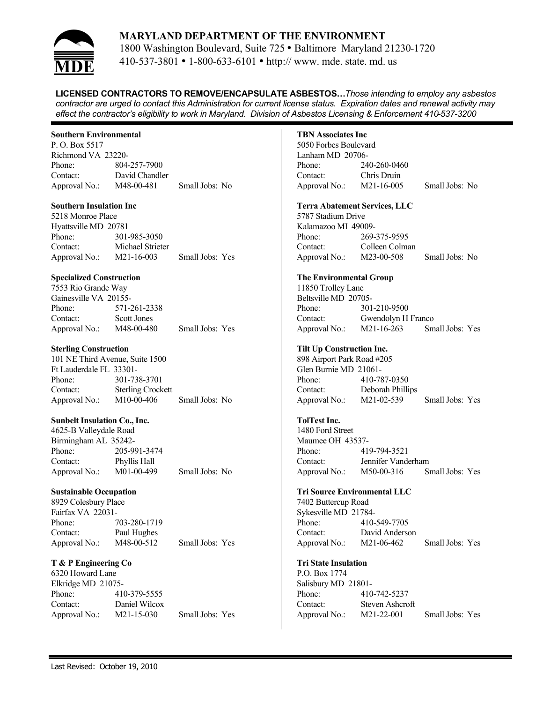

1800 Washington Boulevard, Suite 725 • Baltimore Maryland 21230-1720 410-537-3801 • 1-800-633-6101 • http:// www. mde. state. md. us

**LICENSED CONTRACTORS TO REMOVE/ENCAPSULATE ASBESTOS…***Those intending to employ any asbestos contractor are urged to contact this Administration for current license status. Expiration dates and renewal activity may effect the contractor's eligibility to work in Maryland. Division of Asbestos Licensing & Enforcement 410-537-3200*

#### **Southern Environmental**

P. O. Box 5517 Richmond VA 23220- Phone: 804-257-7900 Contact: David Chandler Approval No.: M48-00-481 Small Jobs: No

#### **Southern Insulation Inc**

5218 Monroe Place Hyattsville MD 20781 Phone: 301-985-3050 Contact: Michael Strieter Approval No.: M21-16-003 Small Jobs: Yes

#### **Specialized Construction**

| 7553 Rio Grande Way   |              |                 |
|-----------------------|--------------|-----------------|
| Gainesville VA 20155- |              |                 |
| Phone:                | 571-261-2338 |                 |
| Contact:              | Scott Jones  |                 |
| Approval No.:         | M48-00-480   | Small Jobs: Yes |

#### **Sterling Construction**

101 NE Third Avenue, Suite 1500 Ft Lauderdale FL 33301- Phone: 301-738-3701 Contact: Sterling Crockett Approval No.: M10-00-406 Small Jobs: No

#### **Sunbelt Insulation Co., Inc.**

4625-B Valleydale Road Birmingham AL 35242- Phone: 205-991-3474 Contact: Phyllis Hall Approval No.: M01-00-499 Small Jobs: No

#### **Sustainable Occupation**

8929 Colesbury Place Fairfax VA 22031- Phone: 703-280-1719 Contact: Paul Hughes Approval No.: M48-00-512 Small Jobs: Yes

#### **T & P Engineering Co**

6320 Howard Lane Elkridge MD 21075- Phone: 410-379-5555 Contact: Daniel Wilcox Approval No.: M21-15-030 Small Jobs: Yes

## **TBN Associates Inc**

5050 Forbes Boulevard Lanham MD 20706- Phone: 240-260-0460 Contact: Chris Druin Approval No.: M21-16-005 Small Jobs: No

#### **Terra Abatement Services, LLC**

5787 Stadium Drive Kalamazoo MI 49009- Phone: 269-375-9595 Contact: Colleen Colman Approval No.: M23-00-508 Small Jobs: No

#### **The Environmental Group**

11850 Trolley Lane Beltsville MD 20705- Phone: 301-210-9500 Contact: Gwendolyn H Franco Approval No.: M21-16-263 Small Jobs: Yes

#### **Tilt Up Construction Inc.**

898 Airport Park Road #205 Glen Burnie MD 21061- Phone: 410-787-0350 Contact: Deborah Phillips Approval No.: M21-02-539 Small Jobs: Yes

#### **TolTest Inc.**

1480 Ford Street Maumee OH 43537- Phone: 419-794-3521 Contact: Jennifer Vanderham Approval No.: M50-00-316 Small Jobs: Yes

#### **Tri Source Environmental LLC**

7402 Buttercup Road Sykesville MD 21784- Phone: 410-549-7705 Contact: David Anderson Approval No.: M21-06-462 Small Jobs: Yes

#### **Tri State Insulation**

P.O. Box 1774 Salisbury MD 21801- Phone: 410-742-5237 Contact: Steven Ashcroft Approval No.: M21-22-001 Small Jobs: Yes